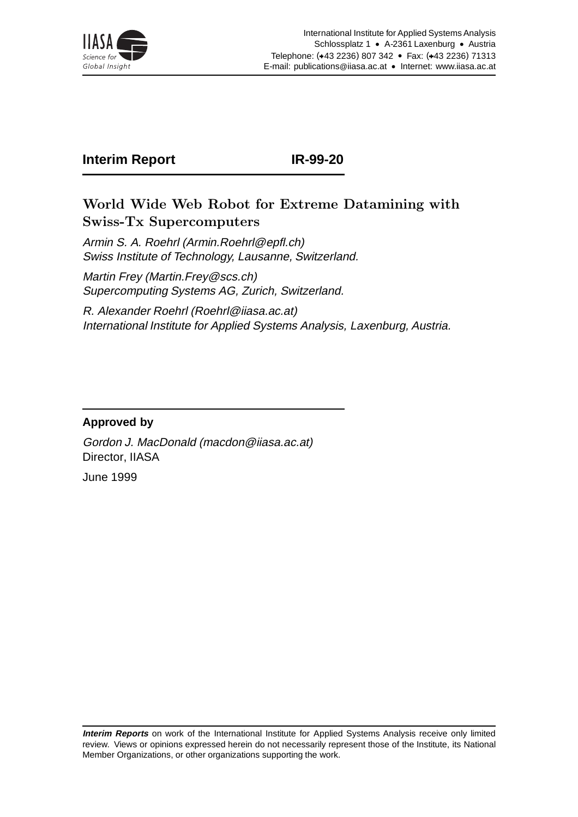

# **Interim Report IR-99-20**

## World Wide Web Robot for Extreme Datamining with Swiss-Tx Supercomputers

Armin S. A. Roehrl (Armin.Roehrl@epfl.ch) Swiss Institute of Technology, Lausanne, Switzerland.

Martin Frey (Martin.Frey@scs.ch) Supercomputing Systems AG, Zurich, Switzerland.

R. Alexander Roehrl (Roehrl@iiasa.ac.at) International Institute for Applied Systems Analysis, Laxenburg, Austria.

### **Approved by**

Gordon J. MacDonald (macdon@iiasa.ac.at) Director, IIASA

June 1999

**Interim Reports** on work of the International Institute for Applied Systems Analysis receive only limited review. Views or opinions expressed herein do not necessarily represent those of the Institute, its National Member Organizations, or other organizations supporting the work.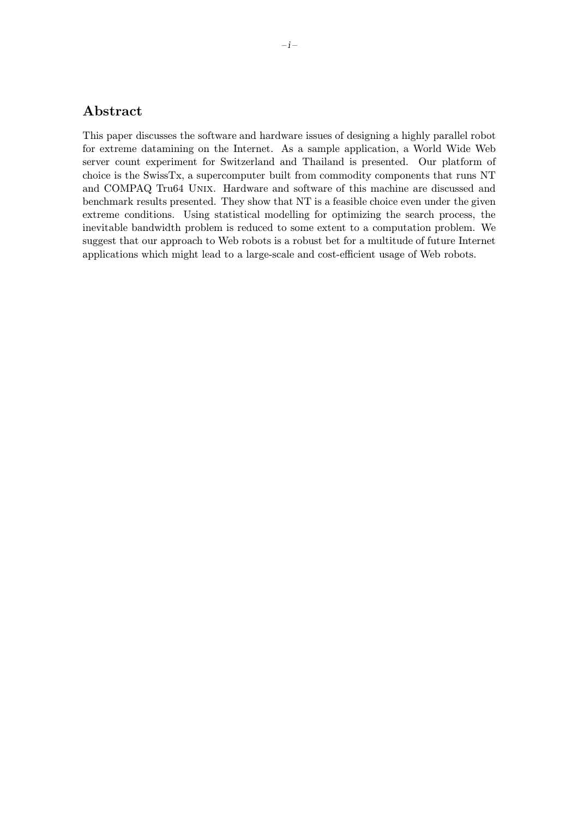### Abstract

This paper discusses the software and hardware issues of designing a highly parallel robot for extreme datamining on the Internet. As a sample application, a World Wide Web server count experiment for Switzerland and Thailand is presented. Our platform of choice is the SwissTx, a supercomputer built from commodity components that runs NT and COMPAQ Tru64 Unix. Hardware and software of this machine are discussed and benchmark results presented. They show that NT is a feasible choice even under the given extreme conditions. Using statistical modelling for optimizing the search process, the inevitable bandwidth problem is reduced to some extent to a computation problem. We suggest that our approach to Web robots is a robust bet for a multitude of future Internet applications which might lead to a large-scale and cost-efficient usage of Web robots.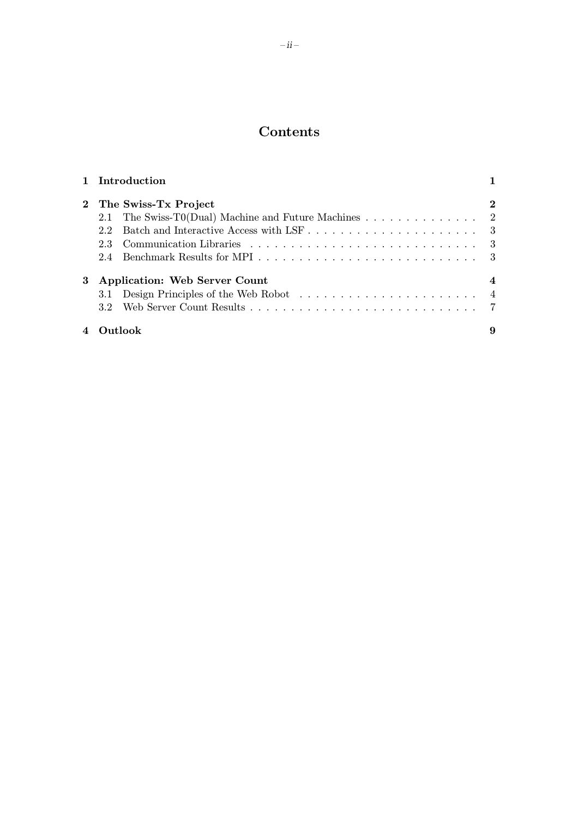## Contents

|                        | 1 Introduction                                       |          |
|------------------------|------------------------------------------------------|----------|
|                        | 2 The Swiss-Tx Project                               | $\bf{2}$ |
|                        | 2.1 The Swiss-T0(Dual) Machine and Future Machines 2 |          |
|                        | 22                                                   |          |
|                        | 2.3                                                  | - 3      |
|                        | 2.4                                                  |          |
| 3                      | <b>Application: Web Server Count</b>                 |          |
|                        | 3.1 Design Principles of the Web Robot               |          |
|                        | 3.2 <sub>1</sub>                                     |          |
| $\boldsymbol{\Lambda}$ | Outlook                                              | 9        |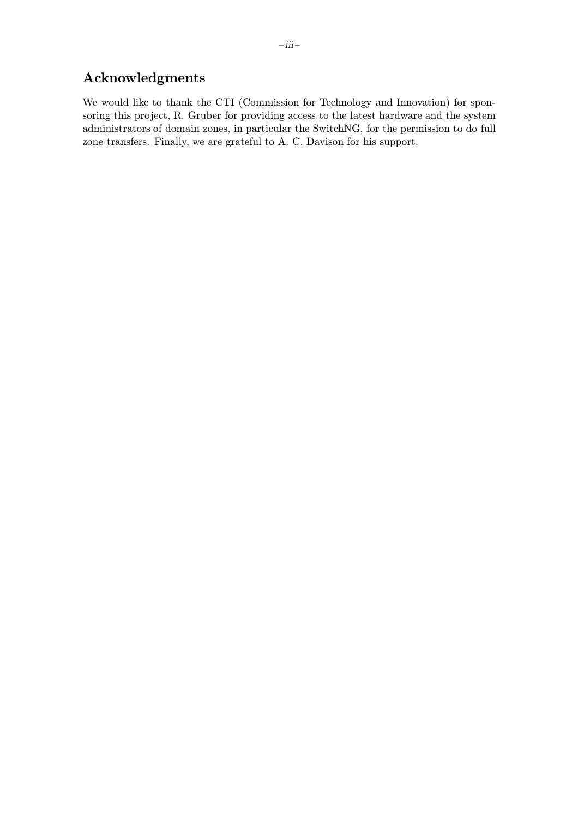## Acknowledgments

We would like to thank the CTI (Commission for Technology and Innovation) for sponsoring this project, R. Gruber for providing access to the latest hardware and the system administrators of domain zones, in particular the SwitchNG, for the permission to do full zone transfers. Finally, we are grateful to A. C. Davison for his support.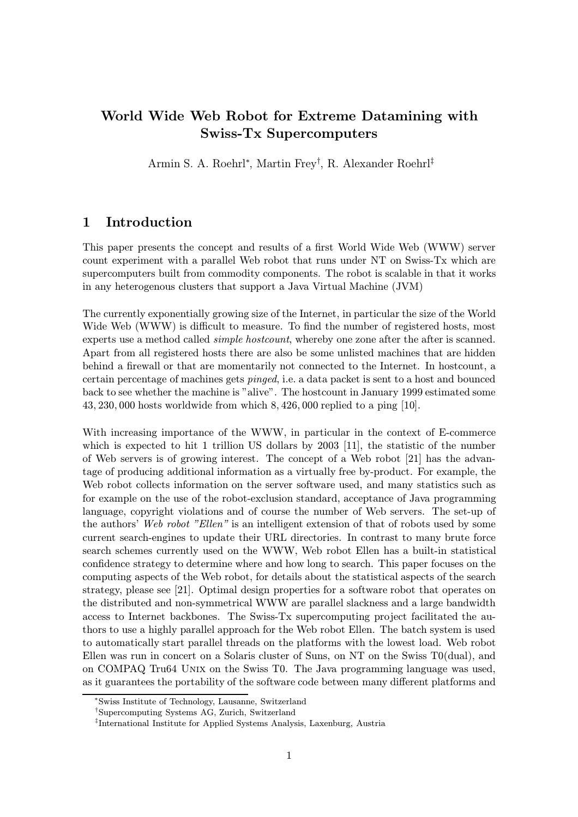## World Wide Web Robot for Extreme Datamining with Swiss-Tx Supercomputers

Armin S. A. Roehrl<sup>∗</sup> , Martin Frey† , R. Alexander Roehrl‡

#### 1 Introduction

This paper presents the concept and results of a first World Wide Web (WWW) server count experiment with a parallel Web robot that runs under NT on Swiss-Tx which are supercomputers built from commodity components. The robot is scalable in that it works in any heterogenous clusters that support a Java Virtual Machine (JVM)

The currently exponentially growing size of the Internet, in particular the size of the World Wide Web (WWW) is difficult to measure. To find the number of registered hosts, most experts use a method called *simple hostcount*, whereby one zone after the after is scanned. Apart from all registered hosts there are also be some unlisted machines that are hidden behind a firewall or that are momentarily not connected to the Internet. In hostcount, a certain percentage of machines gets pinged, i.e. a data packet is sent to a host and bounced back to see whether the machine is "alive". The hostcount in January 1999 estimated some 43, 230, 000 hosts worldwide from which 8, 426, 000 replied to a ping [10].

With increasing importance of the WWW, in particular in the context of E-commerce which is expected to hit 1 trillion US dollars by 2003 [11], the statistic of the number of Web servers is of growing interest. The concept of a Web robot [21] has the advantage of producing additional information as a virtually free by-product. For example, the Web robot collects information on the server software used, and many statistics such as for example on the use of the robot-exclusion standard, acceptance of Java programming language, copyright violations and of course the number of Web servers. The set-up of the authors' Web robot "Ellen" is an intelligent extension of that of robots used by some current search-engines to update their URL directories. In contrast to many brute force search schemes currently used on the WWW, Web robot Ellen has a built-in statistical confidence strategy to determine where and how long to search. This paper focuses on the computing aspects of the Web robot, for details about the statistical aspects of the search strategy, please see [21]. Optimal design properties for a software robot that operates on the distributed and non-symmetrical WWW are parallel slackness and a large bandwidth access to Internet backbones. The Swiss-Tx supercomputing project facilitated the authors to use a highly parallel approach for the Web robot Ellen. The batch system is used to automatically start parallel threads on the platforms with the lowest load. Web robot Ellen was run in concert on a Solaris cluster of Suns, on NT on the Swiss T0(dual), and on COMPAQ Tru64 Unix on the Swiss T0. The Java programming language was used, as it guarantees the portability of the software code between many different platforms and

<sup>∗</sup>Swiss Institute of Technology, Lausanne, Switzerland

<sup>†</sup>Supercomputing Systems AG, Zurich, Switzerland

<sup>‡</sup>International Institute for Applied Systems Analysis, Laxenburg, Austria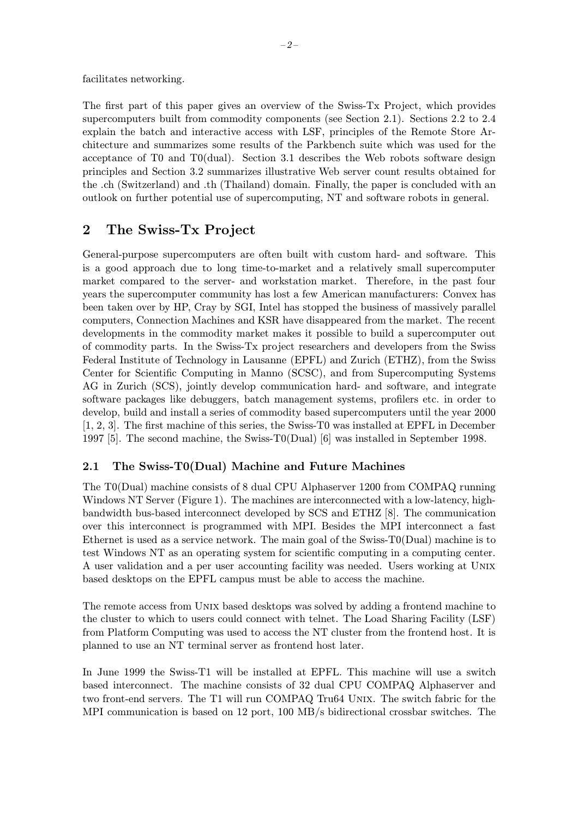facilitates networking.

The first part of this paper gives an overview of the Swiss-Tx Project, which provides supercomputers built from commodity components (see Section 2.1). Sections 2.2 to 2.4 explain the batch and interactive access with LSF, principles of the Remote Store Architecture and summarizes some results of the Parkbench suite which was used for the acceptance of T0 and T0(dual). Section 3.1 describes the Web robots software design principles and Section 3.2 summarizes illustrative Web server count results obtained for the .ch (Switzerland) and .th (Thailand) domain. Finally, the paper is concluded with an outlook on further potential use of supercomputing, NT and software robots in general.

### 2 The Swiss-Tx Project

General-purpose supercomputers are often built with custom hard- and software. This is a good approach due to long time-to-market and a relatively small supercomputer market compared to the server- and workstation market. Therefore, in the past four years the supercomputer community has lost a few American manufacturers: Convex has been taken over by HP, Cray by SGI, Intel has stopped the business of massively parallel computers, Connection Machines and KSR have disappeared from the market. The recent developments in the commodity market makes it possible to build a supercomputer out of commodity parts. In the Swiss-Tx project researchers and developers from the Swiss Federal Institute of Technology in Lausanne (EPFL) and Zurich (ETHZ), from the Swiss Center for Scientific Computing in Manno (SCSC), and from Supercomputing Systems AG in Zurich (SCS), jointly develop communication hard- and software, and integrate software packages like debuggers, batch management systems, profilers etc. in order to develop, build and install a series of commodity based supercomputers until the year 2000 [1, 2, 3]. The first machine of this series, the Swiss-T0 was installed at EPFL in December 1997 [5]. The second machine, the Swiss-T0(Dual) [6] was installed in September 1998.

#### 2.1 The Swiss-T0(Dual) Machine and Future Machines

The T0(Dual) machine consists of 8 dual CPU Alphaserver 1200 from COMPAQ running Windows NT Server (Figure 1). The machines are interconnected with a low-latency, highbandwidth bus-based interconnect developed by SCS and ETHZ [8]. The communication over this interconnect is programmed with MPI. Besides the MPI interconnect a fast Ethernet is used as a service network. The main goal of the Swiss-T0(Dual) machine is to test Windows NT as an operating system for scientific computing in a computing center. A user validation and a per user accounting facility was needed. Users working at Unix based desktops on the EPFL campus must be able to access the machine.

The remote access from Unix based desktops was solved by adding a frontend machine to the cluster to which to users could connect with telnet. The Load Sharing Facility (LSF) from Platform Computing was used to access the NT cluster from the frontend host. It is planned to use an NT terminal server as frontend host later.

In June 1999 the Swiss-T1 will be installed at EPFL. This machine will use a switch based interconnect. The machine consists of 32 dual CPU COMPAQ Alphaserver and two front-end servers. The T1 will run COMPAQ Tru64 Unix. The switch fabric for the MPI communication is based on 12 port, 100 MB/s bidirectional crossbar switches. The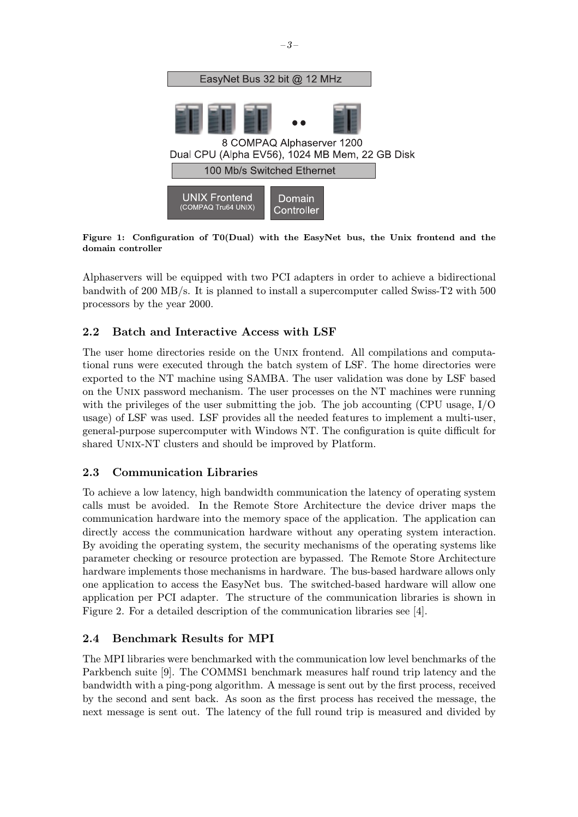

Figure 1: Configuration of T0(Dual) with the EasyNet bus, the Unix frontend and the domain controller

Alphaservers will be equipped with two PCI adapters in order to achieve a bidirectional bandwith of 200 MB/s. It is planned to install a supercomputer called Swiss-T2 with 500 processors by the year 2000.

#### 2.2 Batch and Interactive Access with LSF

The user home directories reside on the Unix frontend. All compilations and computational runs were executed through the batch system of LSF. The home directories were exported to the NT machine using SAMBA. The user validation was done by LSF based on the Unix password mechanism. The user processes on the NT machines were running with the privileges of the user submitting the job. The job accounting (CPU usage,  $I/O$ usage) of LSF was used. LSF provides all the needed features to implement a multi-user, general-purpose supercomputer with Windows NT. The configuration is quite difficult for shared UNIX-NT clusters and should be improved by Platform.

#### 2.3 Communication Libraries

To achieve a low latency, high bandwidth communication the latency of operating system calls must be avoided. In the Remote Store Architecture the device driver maps the communication hardware into the memory space of the application. The application can directly access the communication hardware without any operating system interaction. By avoiding the operating system, the security mechanisms of the operating systems like parameter checking or resource protection are bypassed. The Remote Store Architecture hardware implements those mechanisms in hardware. The bus-based hardware allows only one application to access the EasyNet bus. The switched-based hardware will allow one application per PCI adapter. The structure of the communication libraries is shown in Figure 2. For a detailed description of the communication libraries see [4].

#### 2.4 Benchmark Results for MPI

The MPI libraries were benchmarked with the communication low level benchmarks of the Parkbench suite [9]. The COMMS1 benchmark measures half round trip latency and the bandwidth with a ping-pong algorithm. A message is sent out by the first process, received by the second and sent back. As soon as the first process has received the message, the next message is sent out. The latency of the full round trip is measured and divided by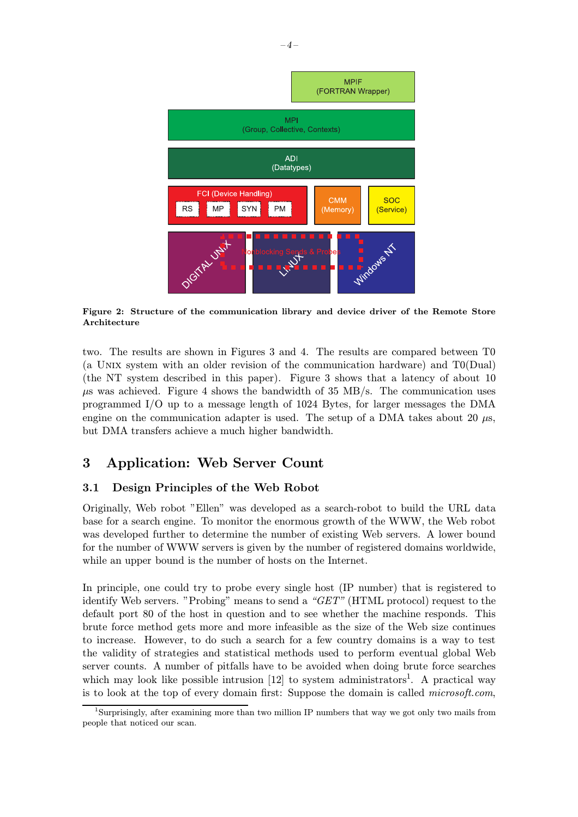

Figure 2: Structure of the communication library and device driver of the Remote Store Architecture

two. The results are shown in Figures 3 and 4. The results are compared between T0 (a Unix system with an older revision of the communication hardware) and T0(Dual) (the NT system described in this paper). Figure 3 shows that a latency of about 10  $\mu$ s was achieved. Figure 4 shows the bandwidth of 35 MB/s. The communication uses programmed I/O up to a message length of 1024 Bytes, for larger messages the DMA engine on the communication adapter is used. The setup of a DMA takes about 20  $\mu$ s, but DMA transfers achieve a much higher bandwidth.

### 3 Application: Web Server Count

#### 3.1 Design Principles of the Web Robot

Originally, Web robot "Ellen" was developed as a search-robot to build the URL data base for a search engine. To monitor the enormous growth of the WWW, the Web robot was developed further to determine the number of existing Web servers. A lower bound for the number of WWW servers is given by the number of registered domains worldwide, while an upper bound is the number of hosts on the Internet.

In principle, one could try to probe every single host (IP number) that is registered to identify Web servers. "Probing" means to send a "GET" (HTML protocol) request to the default port 80 of the host in question and to see whether the machine responds. This brute force method gets more and more infeasible as the size of the Web size continues to increase. However, to do such a search for a few country domains is a way to test the validity of strategies and statistical methods used to perform eventual global Web server counts. A number of pitfalls have to be avoided when doing brute force searches which may look like possible intrusion  $[12]$  to system administrators<sup>1</sup>. A practical way is to look at the top of every domain first: Suppose the domain is called *microsoft.com*,

<sup>1</sup>Surprisingly, after examining more than two million IP numbers that way we got only two mails from people that noticed our scan.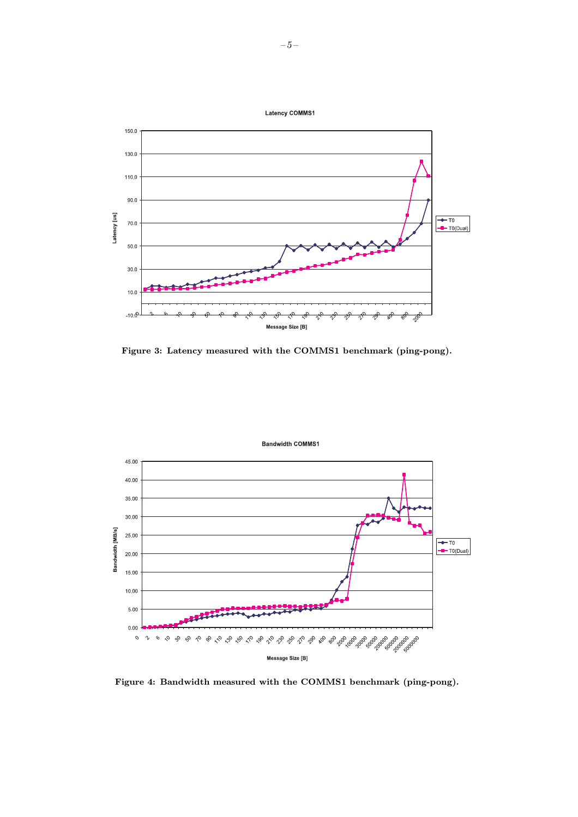

Figure 3: Latency measured with the COMMS1 benchmark (ping-pong).



Figure 4: Bandwidth measured with the COMMS1 benchmark (ping-pong).

**Bandwidth COMMS1**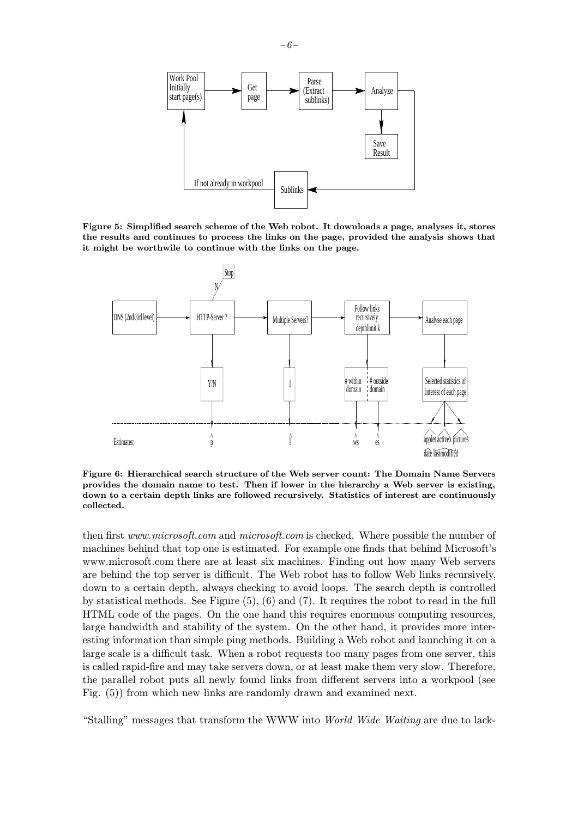

Figure 5: Simplified search scheme of the Web robot. It downloads a page, analyses it, stores the results and continues to process the links on the page, provided the analysis shows that it might be worthwile to continue with the links on the page.



Figure 6: Hierarchical search structure of the Web server count: The Domain Name Servers provides the domain name to test. Then if lower in the hierarchy a Web server is existing, down to a certain depth links are followed recursively. Statistics of interest are continuously collected.

then first www.microsoft.com and microsoft.com is checked. Where possible the number of machines behind that top one is estimated. For example one finds that behind Microsoft's www.microsoft.com there are at least six machines. Finding out how many Web servers are behind the top server is difficult. The Web robot has to follow Web links recursively, down to a certain depth, always checking to avoid loops. The search depth is controlled by statistical methods. See Figure (5), (6) and (7). It requires the robot to read in the full HTML code of the pages. On the one hand this requires enormous computing resources, large bandwidth and stability of the system. On the other hand, it provides more interesting information than simple ping methods. Building a Web robot and launching it on a large scale is a difficult task. When a robot requests too many pages from one server, this is called rapid-fire and may take servers down, or at least make them very slow. Therefore, the parallel robot puts all newly found links from different servers into a workpool (see Fig. (5)) from which new links are randomly drawn and examined next.

"Stalling" messages that transform the WWW into World Wide Waiting are due to lack-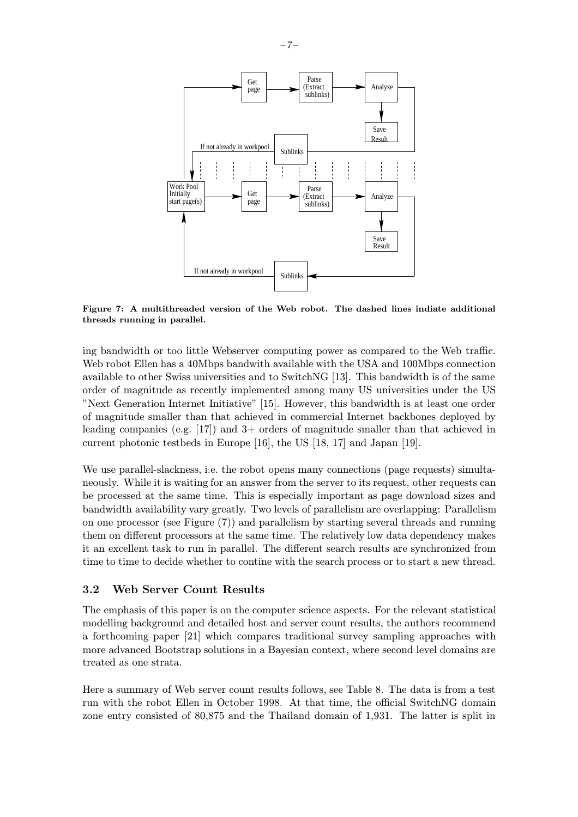

Figure 7: A multithreaded version of the Web robot. The dashed lines indiate additional threads running in parallel.

ing bandwidth or too little Webserver computing power as compared to the Web traffic. Web robot Ellen has a 40Mbps bandwith available with the USA and 100Mbps connection available to other Swiss universities and to SwitchNG [13]. This bandwidth is of the same order of magnitude as recently implemented among many US universities under the US "Next Generation Internet Initiative" [15]. However, this bandwidth is at least one order of magnitude smaller than that achieved in commercial Internet backbones deployed by leading companies (e.g. [17]) and 3+ orders of magnitude smaller than that achieved in current photonic testbeds in Europe [16], the US [18, 17] and Japan [19].

We use parallel-slackness, i.e. the robot opens many connections (page requests) simultaneously. While it is waiting for an answer from the server to its request, other requests can be processed at the same time. This is especially important as page download sizes and bandwidth availability vary greatly. Two levels of parallelism are overlapping: Parallelism on one processor (see Figure (7)) and parallelism by starting several threads and running them on different processors at the same time. The relatively low data dependency makes it an excellent task to run in parallel. The different search results are synchronized from time to time to decide whether to contine with the search process or to start a new thread.

#### 3.2 Web Server Count Results

The emphasis of this paper is on the computer science aspects. For the relevant statistical modelling background and detailed host and server count results, the authors recommend a forthcoming paper [21] which compares traditional survey sampling approaches with more advanced Bootstrap solutions in a Bayesian context, where second level domains are treated as one strata.

Here a summary of Web server count results follows, see Table 8. The data is from a test run with the robot Ellen in October 1998. At that time, the official SwitchNG domain zone entry consisted of 80,875 and the Thailand domain of 1,931. The latter is split in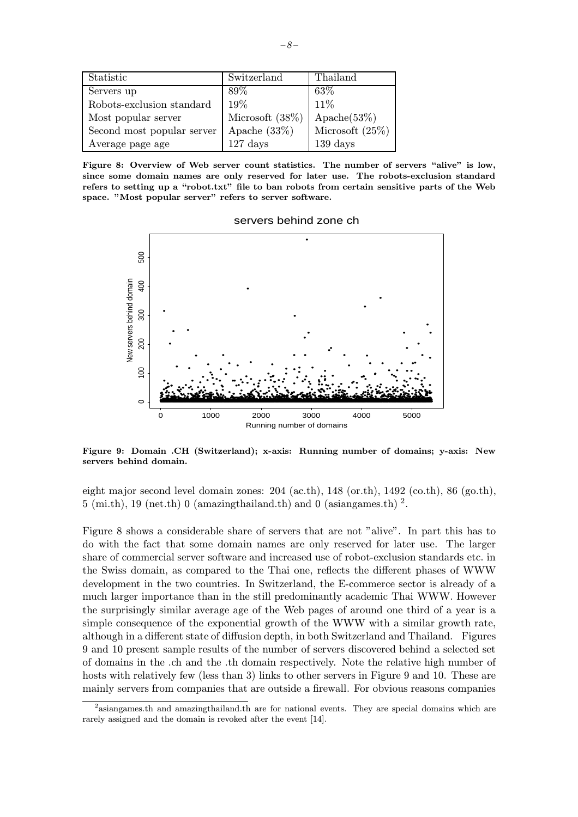| Statistic                  | Switzerland        | Thailand                      |
|----------------------------|--------------------|-------------------------------|
| Servers up                 | 89%                | $63\%$                        |
| Robots-exclusion standard  | 19%                | 11%                           |
| Most popular server        | Microsoft $(38\%)$ | $\text{A} \text{pache}(53\%)$ |
| Second most popular server | Apache $(33\%)$    | Microsoft $(25\%)$            |
| Average page age           | $127$ days         | 139 days                      |

Figure 8: Overview of Web server count statistics. The number of servers "alive" is low, since some domain names are only reserved for later use. The robots-exclusion standard refers to setting up a "robot.txt" file to ban robots from certain sensitive parts of the Web space. "Most popular server" refers to server software.



servers behind zone ch

Figure 9: Domain .CH (Switzerland); x-axis: Running number of domains; y-axis: New servers behind domain.

eight major second level domain zones: 204 (ac.th), 148 (or.th), 1492 (co.th), 86 (go.th), 5 (mi.th), 19 (net.th) 0 (amazingthailand.th) and 0 (asiangames.th)  $^2$ .

Figure 8 shows a considerable share of servers that are not "alive". In part this has to do with the fact that some domain names are only reserved for later use. The larger share of commercial server software and increased use of robot-exclusion standards etc. in the Swiss domain, as compared to the Thai one, reflects the different phases of WWW development in the two countries. In Switzerland, the E-commerce sector is already of a much larger importance than in the still predominantly academic Thai WWW. However the surprisingly similar average age of the Web pages of around one third of a year is a simple consequence of the exponential growth of the WWW with a similar growth rate, although in a different state of diffusion depth, in both Switzerland and Thailand. Figures 9 and 10 present sample results of the number of servers discovered behind a selected set of domains in the .ch and the .th domain respectively. Note the relative high number of hosts with relatively few (less than 3) links to other servers in Figure 9 and 10. These are mainly servers from companies that are outside a firewall. For obvious reasons companies

 $2$ asiangames.th and amazingthailand.th are for national events. They are special domains which are rarely assigned and the domain is revoked after the event [14].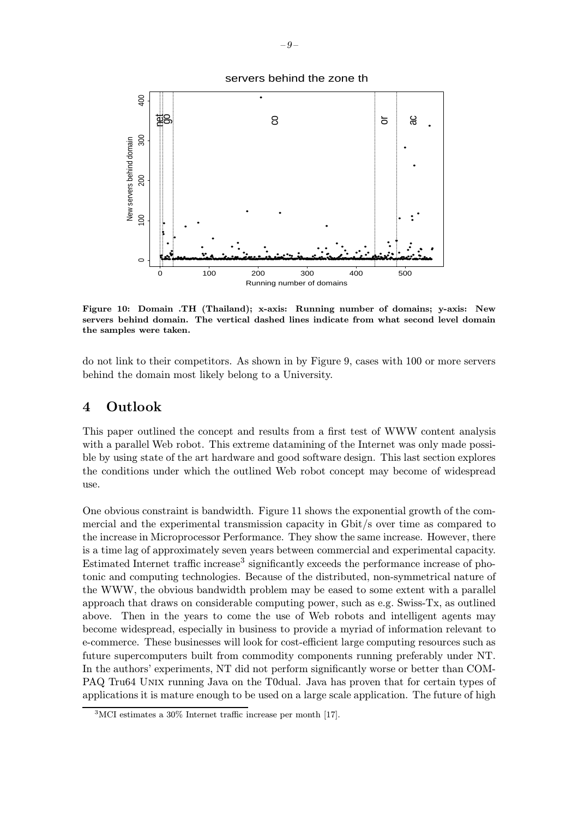



Figure 10: Domain .TH (Thailand); x-axis: Running number of domains; y-axis: New servers behind domain. The vertical dashed lines indicate from what second level domain the samples were taken.

do not link to their competitors. As shown in by Figure 9, cases with 100 or more servers behind the domain most likely belong to a University.

#### 4 Outlook

This paper outlined the concept and results from a first test of WWW content analysis with a parallel Web robot. This extreme datamining of the Internet was only made possible by using state of the art hardware and good software design. This last section explores the conditions under which the outlined Web robot concept may become of widespread use.

One obvious constraint is bandwidth. Figure 11 shows the exponential growth of the commercial and the experimental transmission capacity in Gbit/s over time as compared to the increase in Microprocessor Performance. They show the same increase. However, there is a time lag of approximately seven years between commercial and experimental capacity. Estimated Internet traffic increase<sup>3</sup> significantly exceeds the performance increase of photonic and computing technologies. Because of the distributed, non-symmetrical nature of the WWW, the obvious bandwidth problem may be eased to some extent with a parallel approach that draws on considerable computing power, such as e.g. Swiss-Tx, as outlined above. Then in the years to come the use of Web robots and intelligent agents may become widespread, especially in business to provide a myriad of information relevant to e-commerce. These businesses will look for cost-efficient large computing resources such as future supercomputers built from commodity components running preferably under NT. In the authors' experiments, NT did not perform significantly worse or better than COM-PAQ Tru64 Unix running Java on the T0dual. Java has proven that for certain types of applications it is mature enough to be used on a large scale application. The future of high

<sup>3</sup>MCI estimates a 30% Internet traffic increase per month [17].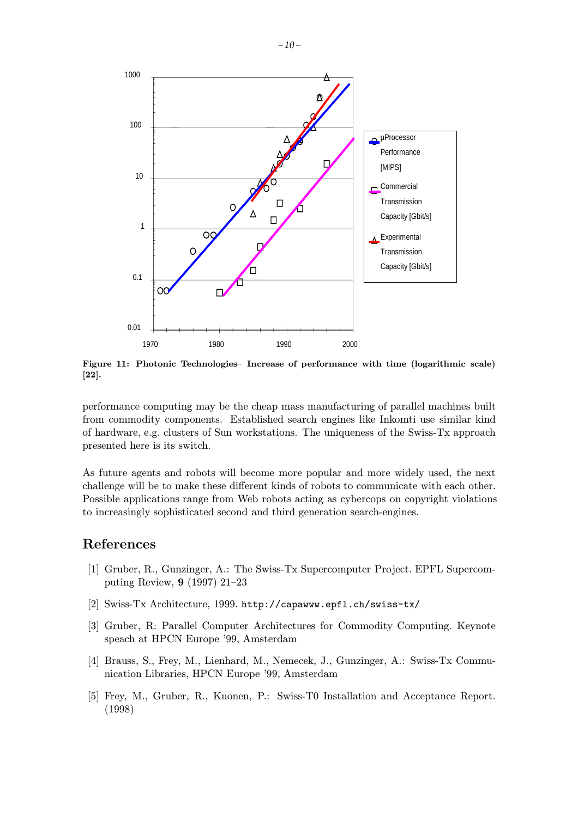

Figure 11: Photonic Technologies– Increase of performance with time (logarithmic scale) [22].

performance computing may be the cheap mass manufacturing of parallel machines built from commodity components. Established search engines like Inkomti use similar kind of hardware, e.g. clusters of Sun workstations. The uniqueness of the Swiss-Tx approach presented here is its switch.

As future agents and robots will become more popular and more widely used, the next challenge will be to make these different kinds of robots to communicate with each other. Possible applications range from Web robots acting as cybercops on copyright violations to increasingly sophisticated second and third generation search-engines.

#### References

- [1] Gruber, R., Gunzinger, A.: The Swiss-Tx Supercomputer Project. EPFL Supercomputing Review, 9 (1997) 21–23
- [2] Swiss-Tx Architecture, 1999. http://capawww.epfl.ch/swiss-tx/
- [3] Gruber, R: Parallel Computer Architectures for Commodity Computing. Keynote speach at HPCN Europe '99, Amsterdam
- [4] Brauss, S., Frey, M., Lienhard, M., Nemecek, J., Gunzinger, A.: Swiss-Tx Communication Libraries, HPCN Europe '99, Amsterdam
- [5] Frey, M., Gruber, R., Kuonen, P.: Swiss-T0 Installation and Acceptance Report. (1998)